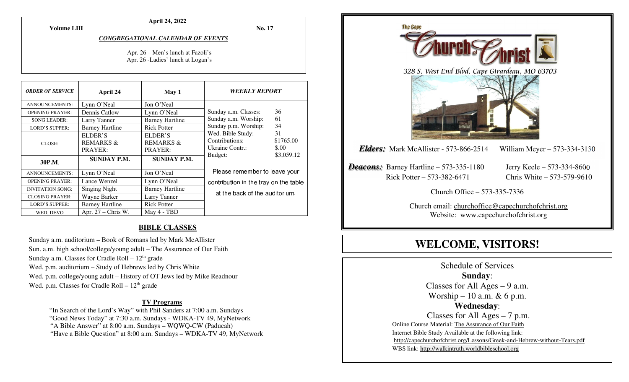**April 24, 2022** 

**No. 17** 

#### *CONGREGATIONAL CALENDAR OF EVENTS*

#### Apr. 26 – Men's lunch at Fazoli's Apr. 26 -Ladies' lunch at Logan's

| <b>ORDER OF SERVICE</b> | April 24                                   | May 1                                      | <b>WEEKLY REPORT</b>                                                                                                                                                    |    |
|-------------------------|--------------------------------------------|--------------------------------------------|-------------------------------------------------------------------------------------------------------------------------------------------------------------------------|----|
| <b>ANNOUNCEMENTS:</b>   | Lynn O'Neal                                | Jon O'Neal                                 |                                                                                                                                                                         |    |
| <b>OPENING PRAYER:</b>  | Dennis Catlow                              | Lynn O'Neal                                | Sunday a.m. Classes:                                                                                                                                                    | 36 |
| <b>SONG LEADER:</b>     | Larry Tanner                               | <b>Barney Hartline</b>                     | 61<br>Sunday a.m. Worship:<br>Sunday p.m. Worship:<br>34<br>Wed. Bible Study:<br>31<br>Contributions:<br>\$1765.00<br>Ukraine Contr.:<br>\$.00<br>\$3,059.12<br>Budget: |    |
| <b>LORD'S SUPPER:</b>   | <b>Barney Hartline</b>                     | <b>Rick Potter</b>                         |                                                                                                                                                                         |    |
| CLOSE:                  | ELDER'S<br><b>REMARKS &amp;</b><br>PRAYER: | ELDER'S<br><b>REMARKS &amp;</b><br>PRAYER: |                                                                                                                                                                         |    |
| 30P.M.                  | <b>SUNDAY P.M.</b>                         | <b>SUNDAY P.M.</b>                         |                                                                                                                                                                         |    |
| <b>ANNOUNCEMENTS:</b>   | Lynn O'Neal                                | Jon O'Neal                                 | Please remember to leave your                                                                                                                                           |    |
| <b>OPENING PRAYER:</b>  | Lance Wenzel                               | Lynn O'Neal                                | contribution in the tray on the table                                                                                                                                   |    |
| <b>INVITATION SONG:</b> | <b>Singing Night</b>                       | <b>Barney Hartline</b>                     | at the back of the auditorium.                                                                                                                                          |    |
| <b>CLOSING PRAYER:</b>  | Wayne Barker                               | Larry Tanner                               |                                                                                                                                                                         |    |
| <b>LORD'S SUPPER:</b>   | <b>Barney Hartline</b>                     | <b>Rick Potter</b>                         |                                                                                                                                                                         |    |
| WED. DEVO               | Apr. $27$ – Chris W.                       | May 4 - TBD                                |                                                                                                                                                                         |    |

#### **BIBLE CLASSES**

Sunday a.m. auditorium – Book of Romans led by Mark McAllister Sun. a.m. high school/college/young adult – The Assurance of Our Faith Sunday a.m. Classes for Cradle Roll  $-12<sup>th</sup>$  grade Wed. p.m. auditorium – Study of Hebrews led by Chris White Wed. p.m. college/young adult – History of OT Jews led by Mike Readnour Wed. p.m. Classes for Cradle Roll  $-12<sup>th</sup>$  grade

#### **TV Programs**

 "In Search of the Lord's Way" with Phil Sanders at 7:00 a.m. Sundays "Good News Today" at 7:30 a.m. Sundays - WDKA-TV 49, MyNetwork "A Bible Answer" at 8:00 a.m. Sundays – WQWQ-CW (Paducah) "Have a Bible Question" at 8:00 a.m. Sundays – WDKA-TV 49, MyNetwork



Schedule of Services **Sunday**: Classes for All Ages  $-9$  a.m. Worship – 10 a.m.  $& 6$  p.m. **Wednesday**: Classes for All Ages – 7 p.m. Online Course Material: The Assurance of Our Faith Internet Bible Study Available at the following link: http://capechurchofchrist.org/Lessons/Greek-and-Hebrew-without-Tears.pdfWBS link: http://walkintruth.worldbibleschool.org

#### **Volume LIII**